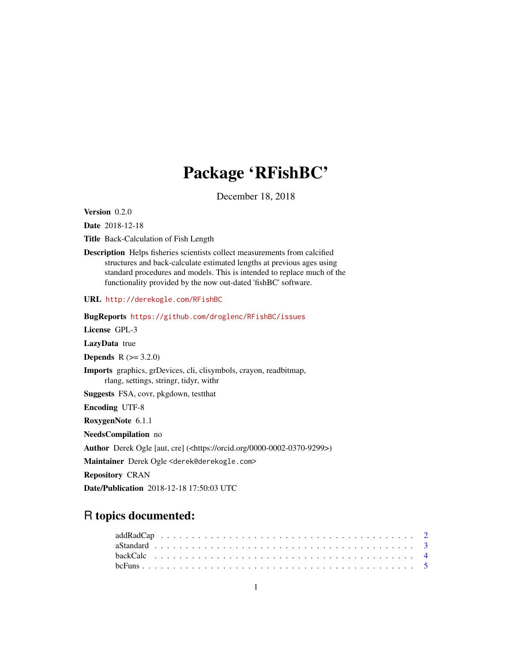# Package 'RFishBC'

December 18, 2018

<span id="page-0-0"></span>Version 0.2.0

Date 2018-12-18

Title Back-Calculation of Fish Length

Description Helps fisheries scientists collect measurements from calcified structures and back-calculate estimated lengths at previous ages using standard procedures and models. This is intended to replace much of the functionality provided by the now out-dated 'fishBC' software.

URL <http://derekogle.com/RFishBC>

BugReports <https://github.com/droglenc/RFishBC/issues>

License GPL-3

LazyData true

**Depends**  $R (= 3.2.0)$ 

Imports graphics, grDevices, cli, clisymbols, crayon, readbitmap, rlang, settings, stringr, tidyr, withr

Suggests FSA, covr, pkgdown, testthat

Encoding UTF-8

RoxygenNote 6.1.1

NeedsCompilation no

Author Derek Ogle [aut, cre] (<https://orcid.org/0000-0002-0370-9299>)

Maintainer Derek Ogle <derek@derekogle.com>

Repository CRAN

Date/Publication 2018-12-18 17:50:03 UTC

# R topics documented: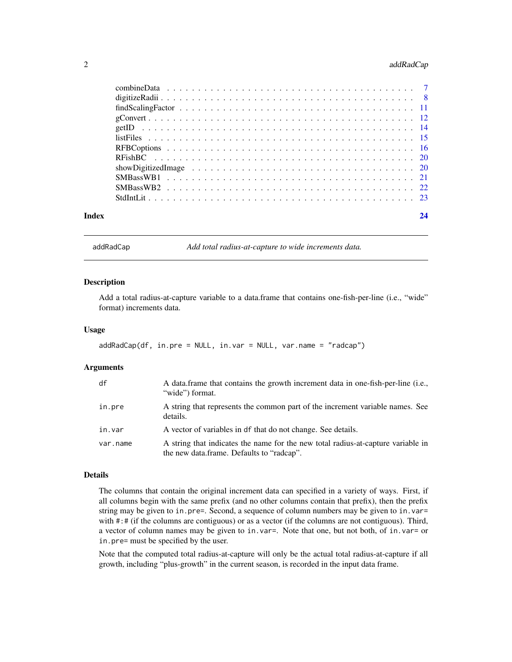# <span id="page-1-0"></span>2 addRadCap and 2 and 2 and 2 and 2 and 2 and 2 and 2 and 2 and 2 and 2 and 2 and 2 and 2 and 2 and 2 and 2 and 2 and 2 and 2 and 2 and 2 and 2 and 2 and 2 and 2 and 2 and 2 and 2 and 2 and 2 and 2 and 2 and 2 and 2 and 2

| Index | 24 |
|-------|----|
|       |    |
|       |    |
|       |    |
|       |    |
|       |    |
|       |    |
|       |    |
|       |    |
|       |    |
|       |    |
|       |    |
|       |    |

<span id="page-1-1"></span>addRadCap *Add total radius-at-capture to wide increments data.*

#### Description

Add a total radius-at-capture variable to a data.frame that contains one-fish-per-line (i.e., "wide" format) increments data.

#### Usage

```
addRadCap(df, in.pre = NULL, in.var = NULL, var.name = "radcap")
```
# Arguments

| df       | A data frame that contains the growth increment data in one-fish-per-line (i.e.,<br>"wide" format.                            |
|----------|-------------------------------------------------------------------------------------------------------------------------------|
| in.pre   | A string that represents the common part of the increment variable names. See<br>details.                                     |
| in.var   | A vector of variables in df that do not change. See details.                                                                  |
| var.name | A string that indicates the name for the new total radius-at-capture variable in<br>the new data.frame. Defaults to "radcap". |

### Details

The columns that contain the original increment data can specified in a variety of ways. First, if all columns begin with the same prefix (and no other columns contain that prefix), then the prefix string may be given to in.pre=. Second, a sequence of column numbers may be given to in.var= with  $\#:\#$  (if the columns are contiguous) or as a vector (if the columns are not contiguous). Third, a vector of column names may be given to in.var=. Note that one, but not both, of in.var= or in.pre= must be specified by the user.

Note that the computed total radius-at-capture will only be the actual total radius-at-capture if all growth, including "plus-growth" in the current season, is recorded in the input data frame.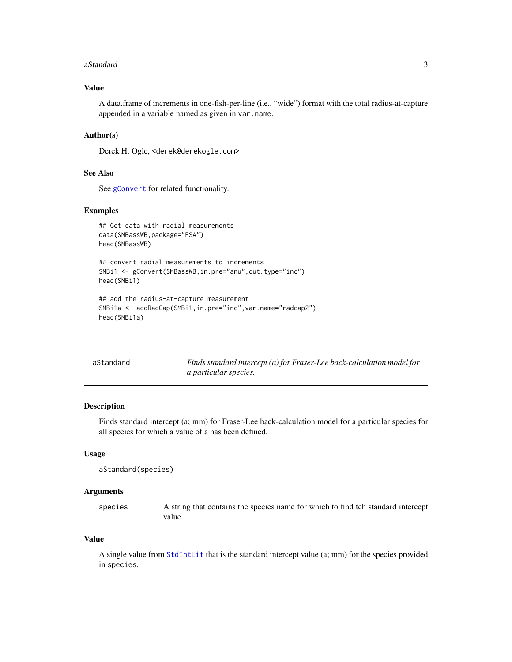#### <span id="page-2-0"></span>aStandard 3

# Value

A data.frame of increments in one-fish-per-line (i.e., "wide") format with the total radius-at-capture appended in a variable named as given in var.name.

# Author(s)

Derek H. Ogle, <derek@derekogle.com>

#### See Also

See [gConvert](#page-11-1) for related functionality.

# Examples

```
## Get data with radial measurements
data(SMBassWB,package="FSA")
head(SMBassWB)
## convert radial measurements to increments
SMBi1 <- gConvert(SMBassWB, in.pre="anu", out.type="inc")
head(SMBi1)
## add the radius-at-capture measurement
SMBi1a <- addRadCap(SMBi1,in.pre="inc",var.name="radcap2")
head(SMBi1a)
```
<span id="page-2-1"></span>

| aStandard | Finds standard intercept (a) for Fraser-Lee back-calculation model for |
|-----------|------------------------------------------------------------------------|
|           | <i>a particular species.</i>                                           |

# Description

Finds standard intercept (a; mm) for Fraser-Lee back-calculation model for a particular species for all species for which a value of a has been defined.

# Usage

```
aStandard(species)
```
#### Arguments

species A string that contains the species name for which to find teh standard intercept value.

# Value

A single value from [StdIntLit](#page-22-1) that is the standard intercept value (a; mm) for the species provided in species.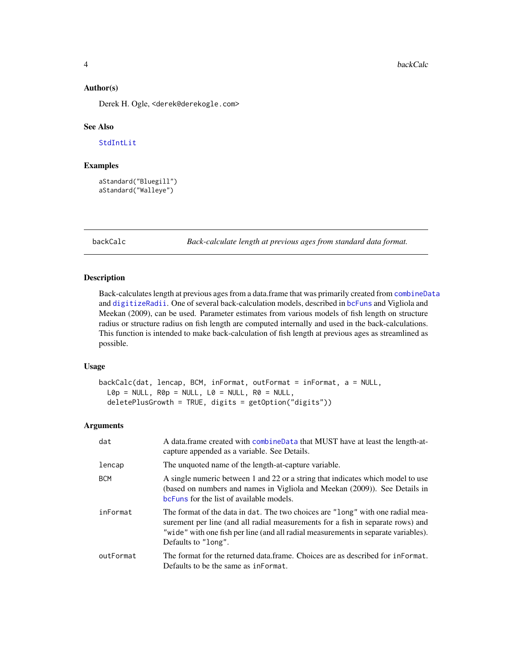#### <span id="page-3-0"></span>Author(s)

Derek H. Ogle, <derek@derekogle.com>

# See Also

[StdIntLit](#page-22-1)

# Examples

```
aStandard("Bluegill")
aStandard("Walleye")
```
backCalc *Back-calculate length at previous ages from standard data format.*

# Description

Back-calculates length at previous ages from a data.frame that was primarily created from [combineData](#page-6-1) and [digitizeRadii](#page-7-1). One of several back-calculation models, described in [bcFuns](#page-4-1) and Vigliola and Meekan (2009), can be used. Parameter estimates from various models of fish length on structure radius or structure radius on fish length are computed internally and used in the back-calculations. This function is intended to make back-calculation of fish length at previous ages as streamlined as possible.

#### Usage

```
backCalc(dat, lencap, BCM, inFormat, outFormat = inFormat, a = NULL,
 LØp = NULL, RØp = NULL, LØ = NULL, RØ = NULLdeletePlusGrowth = TRUE, digits = getOption("digits"))
```
#### Arguments

| dat        | A data.frame created with combineData that MUST have at least the length-at-<br>capture appended as a variable. See Details.                                                                                                                                                   |
|------------|--------------------------------------------------------------------------------------------------------------------------------------------------------------------------------------------------------------------------------------------------------------------------------|
| lencap     | The unquoted name of the length-at-capture variable.                                                                                                                                                                                                                           |
| <b>BCM</b> | A single numeric between 1 and 22 or a string that indicates which model to use<br>(based on numbers and names in Vigliola and Meekan (2009)). See Details in<br>bcFuns for the list of available models.                                                                      |
| inFormat   | The format of the data in dat. The two choices are "long" with one radial mea-<br>surement per line (and all radial measurements for a fish in separate rows) and<br>"wide" with one fish per line (and all radial measurements in separate variables).<br>Defaults to "long". |
| outFormat  | The format for the returned data frame. Choices are as described for informat.<br>Defaults to be the same as informat.                                                                                                                                                         |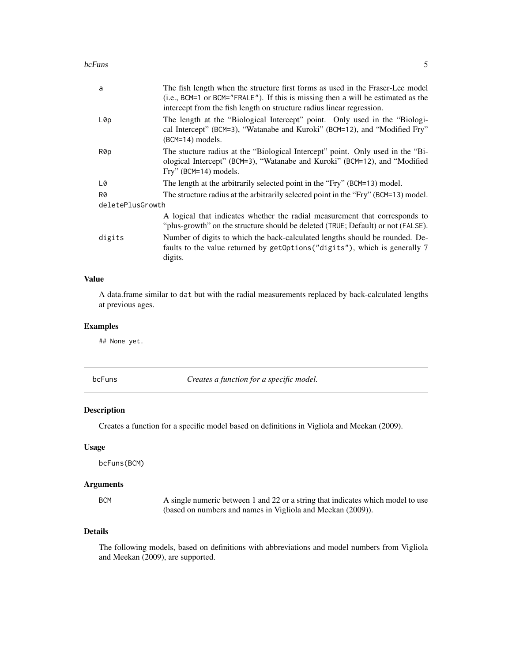#### <span id="page-4-0"></span>bcFuns 5

| a                | The fish length when the structure first forms as used in the Fraser-Lee model<br>(i.e., BCM=1 or BCM="FRALE"). If this is missing then a will be estimated as the<br>intercept from the fish length on structure radius linear regression. |
|------------------|---------------------------------------------------------------------------------------------------------------------------------------------------------------------------------------------------------------------------------------------|
| L0p              | The length at the "Biological Intercept" point. Only used in the "Biologi-<br>cal Intercept" (BCM=3), "Watanabe and Kuroki" (BCM=12), and "Modified Fry"<br>$(BCM=14)$ models.                                                              |
| R0p              | The stucture radius at the "Biological Intercept" point. Only used in the "Bi-<br>ological Intercept" (BCM=3), "Watanabe and Kuroki" (BCM=12), and "Modified<br>Fry" (BCM=14) models.                                                       |
| L0               | The length at the arbitrarily selected point in the "Fry" (BCM=13) model.                                                                                                                                                                   |
| R0               | The structure radius at the arbitrarily selected point in the "Fry" (BCM=13) model.                                                                                                                                                         |
| deletePlusGrowth |                                                                                                                                                                                                                                             |
|                  | A logical that indicates whether the radial measurement that corresponds to<br>"plus-growth" on the structure should be deleted (TRUE; Default) or not (FALSE).                                                                             |
| digits           | Number of digits to which the back-calculated lengths should be rounded. De-<br>faults to the value returned by getOptions ("digits"), which is generally 7<br>digits.                                                                      |

# Value

A data.frame similar to dat but with the radial measurements replaced by back-calculated lengths at previous ages.

# Examples

## None yet.

<span id="page-4-1"></span>

|  | ur | ╮ |
|--|----|---|
|  |    |   |

Creates a function for a specific model.

# Description

Creates a function for a specific model based on definitions in Vigliola and Meekan (2009).

# Usage

bcFuns(BCM)

# Arguments

| BCM | A single numeric between 1 and 22 or a string that indicates which model to use |
|-----|---------------------------------------------------------------------------------|
|     | (based on numbers and names in Vigliola and Meekan (2009)).                     |

# Details

The following models, based on definitions with abbreviations and model numbers from Vigliola and Meekan (2009), are supported.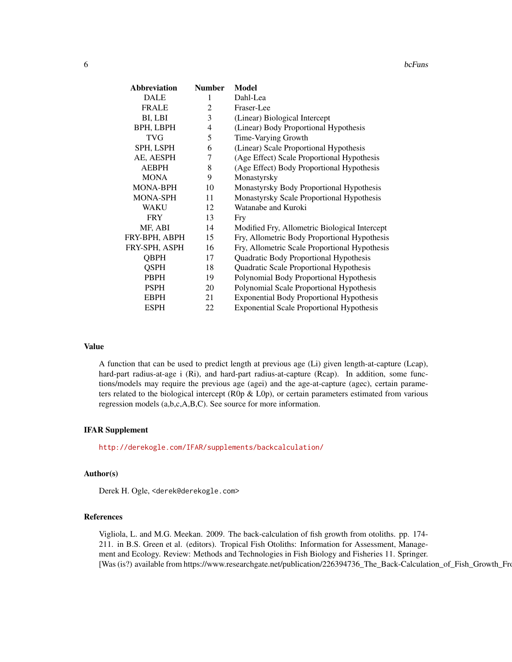| <b>Abbreviation</b> | <b>Number</b>  | <b>Model</b>                                     |
|---------------------|----------------|--------------------------------------------------|
| <b>DALE</b>         | 1              | Dahl-Lea                                         |
| <b>FRALE</b>        | $\overline{2}$ | Fraser-Lee                                       |
| BI, LBI             | 3              | (Linear) Biological Intercept                    |
| BPH, LBPH           | $\overline{4}$ | (Linear) Body Proportional Hypothesis            |
| <b>TVG</b>          | 5              | Time-Varying Growth                              |
| SPH, LSPH           | 6              | (Linear) Scale Proportional Hypothesis           |
| AE, AESPH           | 7              | (Age Effect) Scale Proportional Hypothesis       |
| <b>AEBPH</b>        | 8              | (Age Effect) Body Proportional Hypothesis        |
| <b>MONA</b>         | 9              | Monastyrsky                                      |
| <b>MONA-BPH</b>     | 10             | Monastyrsky Body Proportional Hypothesis         |
| <b>MONA-SPH</b>     | 11             | Monastyrsky Scale Proportional Hypothesis        |
| WAKU                | 12             | Watanabe and Kuroki                              |
| <b>FRY</b>          | 13             | Fry                                              |
| MF, ABI             | 14             | Modified Fry, Allometric Biological Intercept    |
| FRY-BPH, ABPH       | 15             | Fry, Allometric Body Proportional Hypothesis     |
| FRY-SPH, ASPH       | 16             | Fry, Allometric Scale Proportional Hypothesis    |
| <b>QBPH</b>         | 17             | Quadratic Body Proportional Hypothesis           |
| <b>QSPH</b>         | 18             | Quadratic Scale Proportional Hypothesis          |
| <b>PBPH</b>         | 19             | Polynomial Body Proportional Hypothesis          |
| <b>PSPH</b>         | 20             | Polynomial Scale Proportional Hypothesis         |
| <b>EBPH</b>         | 21             | <b>Exponential Body Proportional Hypothesis</b>  |
| <b>ESPH</b>         | 22             | <b>Exponential Scale Proportional Hypothesis</b> |

#### Value

A function that can be used to predict length at previous age (Li) given length-at-capture (Lcap), hard-part radius-at-age i (Ri), and hard-part radius-at-capture (Rcap). In addition, some functions/models may require the previous age (agei) and the age-at-capture (agec), certain parameters related to the biological intercept (R0p & L0p), or certain parameters estimated from various regression models (a,b,c,A,B,C). See source for more information.

#### IFAR Supplement

<http://derekogle.com/IFAR/supplements/backcalculation/>

### Author(s)

Derek H. Ogle, <derek@derekogle.com>

# References

Vigliola, L. and M.G. Meekan. 2009. The back-calculation of fish growth from otoliths. pp. 174- 211. in B.S. Green et al. (editors). Tropical Fish Otoliths: Information for Assessment, Management and Ecology. Review: Methods and Technologies in Fish Biology and Fisheries 11. Springer. [Was (is?) available from https://www.researchgate.net/publication/226394736\_The\_Back-Calculation\_of\_Fish\_Growth\_From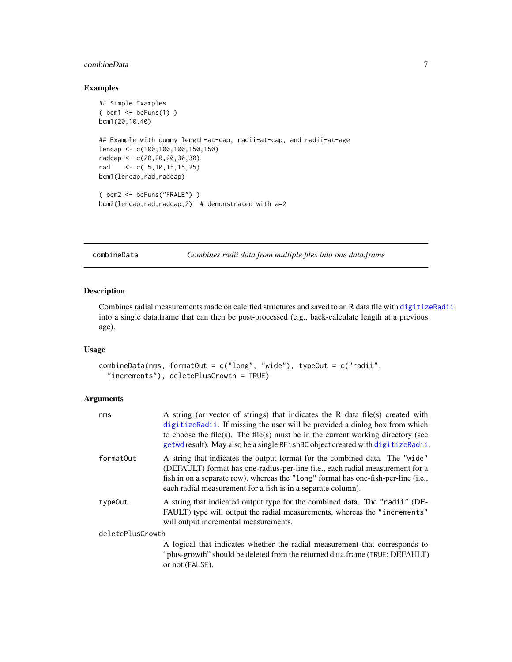# <span id="page-6-0"></span>combineData 7

# Examples

```
## Simple Examples
( bcm1 \leq bcFuns(1))
bcm1(20,10,40)
## Example with dummy length-at-cap, radii-at-cap, and radii-at-age
lencap <- c(100,100,100,150,150)
radcap <- c(20,20,20,30,30)
rad <- c( 5,10,15,15,25)
bcm1(lencap,rad,radcap)
( bcm2 <- bcFuns("FRALE") )
bcm2(lencap,rad,radcap,2) # demonstrated with a=2
```
<span id="page-6-1"></span>combineData *Combines radii data from multiple files into one data.frame*

# Description

Combines radial measurements made on calcified structures and saved to an R data file with [digitizeRadii](#page-7-1) into a single data.frame that can then be post-processed (e.g., back-calculate length at a previous age).

# Usage

```
combineData(nms, formatOut = c("long", "wide"), typeOut = c("radii",
  "increments"), deletePlusGrowth = TRUE)
```
#### Arguments

| nms              | A string (or vector of strings) that indicates the R data file(s) created with<br>digitizeRadii. If missing the user will be provided a dialog box from which<br>to choose the file(s). The file(s) must be in the current working directory (see<br>getwd result). May also be a single RF ishBC object created with digitizeRadii. |  |  |  |  |  |
|------------------|--------------------------------------------------------------------------------------------------------------------------------------------------------------------------------------------------------------------------------------------------------------------------------------------------------------------------------------|--|--|--|--|--|
| formatOut        | A string that indicates the output format for the combined data. The "wide"<br>(DEFAULT) format has one-radius-per-line (i.e., each radial measurement for a<br>fish in on a separate row), whereas the "long" format has one-fish-per-line (i.e.,<br>each radial measurement for a fish is in a separate column).                   |  |  |  |  |  |
| type0ut          | A string that indicated output type for the combined data. The "radii" (DE-<br>FAULT) type will output the radial measurements, whereas the "increments"<br>will output incremental measurements.                                                                                                                                    |  |  |  |  |  |
| deletePlusGrowth |                                                                                                                                                                                                                                                                                                                                      |  |  |  |  |  |
|                  | A logical that indicates whether the radial measurement that corresponds to<br>"plus-growth" should be deleted from the returned data.frame (TRUE; DEFAULT)<br>or not (FALSE).                                                                                                                                                       |  |  |  |  |  |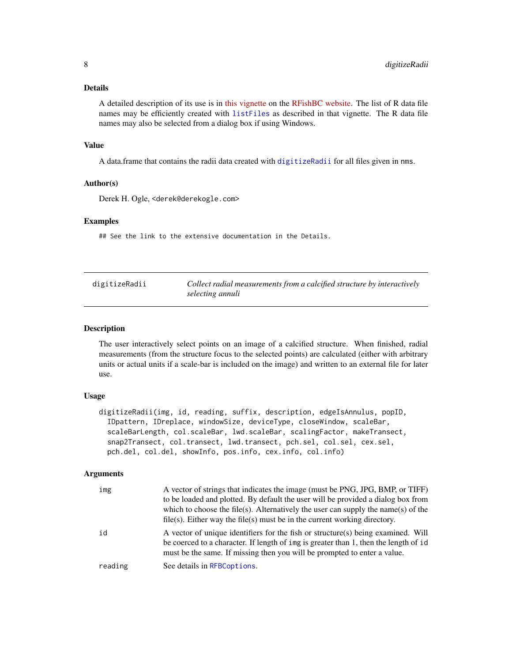#### <span id="page-7-0"></span>Details

A detailed description of its use is in [this vignette](http://derekogle.com/RFishBC/articles/MeasureRadii/collectRadiiData.html) on the [RFishBC website.](http://derekogle.com/RFishBC/index.html) The list of R data file names may be efficiently created with [listFiles](#page-14-1) as described in that vignette. The R data file names may also be selected from a dialog box if using Windows.

#### Value

A data.frame that contains the radii data created with [digitizeRadii](#page-7-1) for all files given in nms.

# Author(s)

Derek H. Ogle, <derek@derekogle.com>

# Examples

## See the link to the extensive documentation in the Details.

<span id="page-7-1"></span>

| digitizeRadii | Collect radial measurements from a calcified structure by interactively |
|---------------|-------------------------------------------------------------------------|
|               | selecting annuli                                                        |

#### Description

The user interactively select points on an image of a calcified structure. When finished, radial measurements (from the structure focus to the selected points) are calculated (either with arbitrary units or actual units if a scale-bar is included on the image) and written to an external file for later use.

# Usage

```
digitizeRadii(img, id, reading, suffix, description, edgeIsAnnulus, popID,
 IDpattern, IDreplace, windowSize, deviceType, closeWindow, scaleBar,
  scaleBarLength, col.scaleBar, lwd.scaleBar, scalingFactor, makeTransect,
  snap2Transect, col.transect, lwd.transect, pch.sel, col.sel, cex.sel,
 pch.del, col.del, showInfo, pos.info, cex.info, col.info)
```
#### Arguments

| img     | A vector of strings that indicates the image (must be PNG, JPG, BMP, or TIFF)<br>to be loaded and plotted. By default the user will be provided a dialog box from<br>which to choose the file(s). Alternatively the user can supply the name(s) of the<br>$file(s)$ . Either way the file(s) must be in the current working directory. |
|---------|----------------------------------------------------------------------------------------------------------------------------------------------------------------------------------------------------------------------------------------------------------------------------------------------------------------------------------------|
| id      | A vector of unique identifiers for the fish or structure(s) being examined. Will<br>be coerced to a character. If length of img is greater than 1, then the length of id<br>must be the same. If missing then you will be prompted to enter a value.                                                                                   |
| reading | See details in RFBCoptions.                                                                                                                                                                                                                                                                                                            |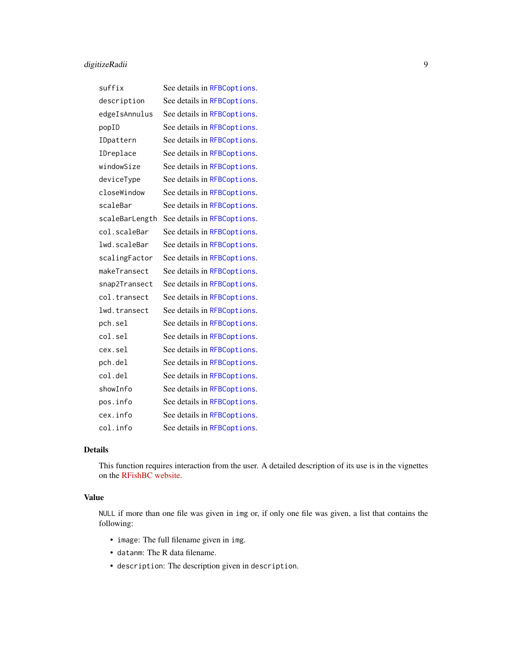# digitizeRadii 9

| suffix         | See details in RFBCoptions. |
|----------------|-----------------------------|
| description    | See details in RFBCoptions. |
| edgeIsAnnulus  | See details in RFBCoptions. |
| popID          | See details in RFBCoptions. |
| IDpattern      | See details in RFBCoptions. |
| IDreplace      | See details in RFBCoptions. |
| windowSize     | See details in RFBCoptions. |
| deviceType     | See details in RFBCoptions. |
| closeWindow    | See details in RFBCoptions. |
| scaleBar       | See details in RFBCoptions. |
| scaleBarLength | See details in RFBCoptions. |
| col.scaleBar   | See details in RFBCoptions. |
| lwd.scaleBar   | See details in RFBCoptions. |
| scalingFactor  | See details in RFBCoptions. |
| makeTransect   | See details in RFBCoptions. |
| snap2Transect  | See details in RFBCoptions. |
| col.transect   | See details in RFBCoptions. |
| lwd.transect   | See details in RFBCoptions. |
| pch.sel        | See details in RFBCoptions. |
| col.sel        | See details in RFBCoptions. |
| cex.sel        | See details in RFBCoptions. |
| pch.del        | See details in RFBCoptions. |
| col.del        | See details in RFBCoptions. |
| showInfo       | See details in RFBCoptions. |
| pos.info       | See details in RFBCoptions. |
| cex.info       | See details in RFBCoptions. |
| col.info       | See details in RFBCoptions. |

# Details

This function requires interaction from the user. A detailed description of its use is in the vignettes on the [RFishBC website.](http://derekogle.com/RFishBC/index.html)

# Value

NULL if more than one file was given in img or, if only one file was given, a list that contains the following:

- image: The full filename given in img.
- datanm: The R data filename.
- description: The description given in description.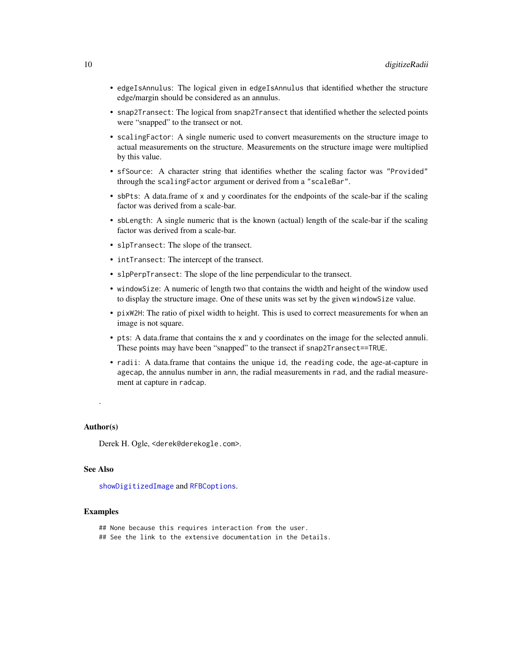- <span id="page-9-0"></span>• edgeIsAnnulus: The logical given in edgeIsAnnulus that identified whether the structure edge/margin should be considered as an annulus.
- snap2Transect: The logical from snap2Transect that identified whether the selected points were "snapped" to the transect or not.
- scalingFactor: A single numeric used to convert measurements on the structure image to actual measurements on the structure. Measurements on the structure image were multiplied by this value.
- sfSource: A character string that identifies whether the scaling factor was "Provided" through the scalingFactor argument or derived from a "scaleBar".
- sbPts: A data.frame of x and y coordinates for the endpoints of the scale-bar if the scaling factor was derived from a scale-bar.
- sbLength: A single numeric that is the known (actual) length of the scale-bar if the scaling factor was derived from a scale-bar.
- slpTransect: The slope of the transect.
- intTransect: The intercept of the transect.
- slpPerpTransect: The slope of the line perpendicular to the transect.
- windowSize: A numeric of length two that contains the width and height of the window used to display the structure image. One of these units was set by the given windowSize value.
- pixW2H: The ratio of pixel width to height. This is used to correct measurements for when an image is not square.
- pts: A data.frame that contains the x and y coordinates on the image for the selected annuli. These points may have been "snapped" to the transect if snap2Transect==TRUE.
- radii: A data.frame that contains the unique id, the reading code, the age-at-capture in agecap, the annulus number in ann, the radial measurements in rad, and the radial measurement at capture in radcap.

# Author(s)

.

Derek H. Ogle, <derek@derekogle.com>.

#### See Also

[showDigitizedImage](#page-19-1) and [RFBCoptions](#page-15-1).

#### Examples

- ## None because this requires interaction from the user. ## See the link to the extensive documentation in the Details.
-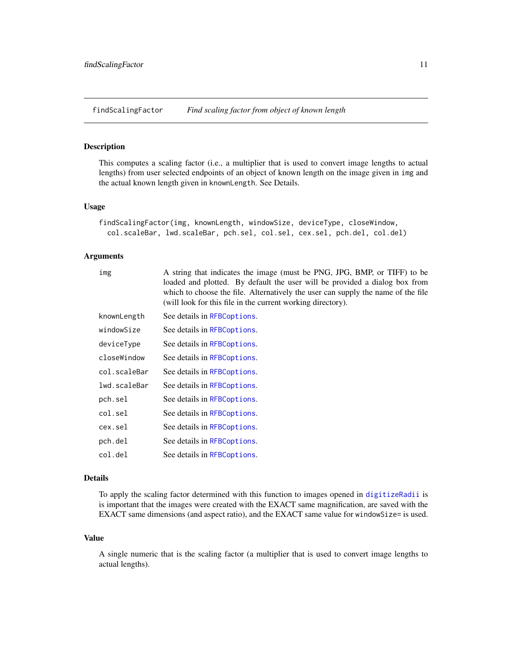<span id="page-10-1"></span><span id="page-10-0"></span>findScalingFactor *Find scaling factor from object of known length*

# Description

This computes a scaling factor (i.e., a multiplier that is used to convert image lengths to actual lengths) from user selected endpoints of an object of known length on the image given in img and the actual known length given in knownLength. See Details.

#### Usage

```
findScalingFactor(img, knownLength, windowSize, deviceType, closeWindow,
 col.scaleBar, lwd.scaleBar, pch.sel, col.sel, cex.sel, pch.del, col.del)
```
#### Arguments

| img          | A string that indicates the image (must be PNG, JPG, BMP, or TIFF) to be<br>loaded and plotted. By default the user will be provided a dialog box from<br>which to choose the file. Alternatively the user can supply the name of the file<br>(will look for this file in the current working directory). |
|--------------|-----------------------------------------------------------------------------------------------------------------------------------------------------------------------------------------------------------------------------------------------------------------------------------------------------------|
| knownLength  | See details in RFBCoptions.                                                                                                                                                                                                                                                                               |
| windowSize   | See details in RFBCoptions.                                                                                                                                                                                                                                                                               |
| deviceType   | See details in RFBCoptions.                                                                                                                                                                                                                                                                               |
| closeWindow  | See details in RFBCoptions.                                                                                                                                                                                                                                                                               |
| col.scaleBar | See details in RFBCoptions.                                                                                                                                                                                                                                                                               |
| lwd.scaleBar | See details in RFBCoptions.                                                                                                                                                                                                                                                                               |
| pch.sel      | See details in RFBCoptions.                                                                                                                                                                                                                                                                               |
| col.sel      | See details in RFBCoptions.                                                                                                                                                                                                                                                                               |
| cex.sel      | See details in RFBCoptions.                                                                                                                                                                                                                                                                               |
| pch.del      | See details in RFBCoptions.                                                                                                                                                                                                                                                                               |
| col.del      | See details in RFBCoptions.                                                                                                                                                                                                                                                                               |

#### Details

To apply the scaling factor determined with this function to images opened in [digitizeRadii](#page-7-1) is is important that the images were created with the EXACT same magnification, are saved with the EXACT same dimensions (and aspect ratio), and the EXACT same value for windowSize= is used.

# Value

A single numeric that is the scaling factor (a multiplier that is used to convert image lengths to actual lengths).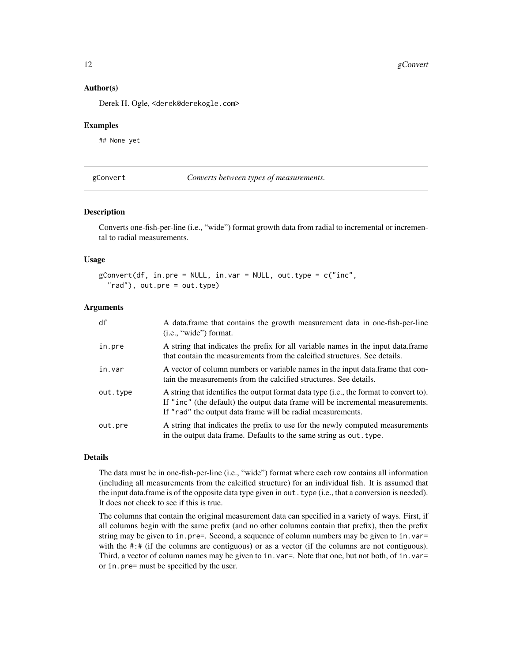#### Author(s)

Derek H. Ogle, <derek@derekogle.com>

#### Examples

## None yet

<span id="page-11-1"></span>gConvert *Converts between types of measurements.*

# Description

Converts one-fish-per-line (i.e., "wide") format growth data from radial to incremental or incremental to radial measurements.

#### Usage

```
gConvert(df, in.pre = NULL, in.var = NULL, out.type = c("inc","rad"), out.pre = out.type)
```
# Arguments

| df       | A data frame that contains the growth measurement data in one-fish-per-line<br>$(i.e., "wide")$ format.                                                                                                                                 |
|----------|-----------------------------------------------------------------------------------------------------------------------------------------------------------------------------------------------------------------------------------------|
| in.pre   | A string that indicates the prefix for all variable names in the input data. frame<br>that contain the measurements from the calcified structures. See details.                                                                         |
| in.var   | A vector of column numbers or variable names in the input data. frame that con-<br>tain the measurements from the calcified structures. See details.                                                                                    |
| out.type | A string that identifies the output format data type (i.e., the format to convert to).<br>If "inc" (the default) the output data frame will be incremental measurements.<br>If "rad" the output data frame will be radial measurements. |
| out.pre  | A string that indicates the prefix to use for the newly computed measurements<br>in the output data frame. Defaults to the same string as out type.                                                                                     |

# Details

The data must be in one-fish-per-line (i.e., "wide") format where each row contains all information (including all measurements from the calcified structure) for an individual fish. It is assumed that the input data.frame is of the opposite data type given in out. type (i.e., that a conversion is needed). It does not check to see if this is true.

The columns that contain the original measurement data can specified in a variety of ways. First, if all columns begin with the same prefix (and no other columns contain that prefix), then the prefix string may be given to in.pre=. Second, a sequence of column numbers may be given to in.var= with the #:# (if the columns are contiguous) or as a vector (if the columns are not contiguous). Third, a vector of column names may be given to in. var=. Note that one, but not both, of in. var= or in.pre= must be specified by the user.

<span id="page-11-0"></span>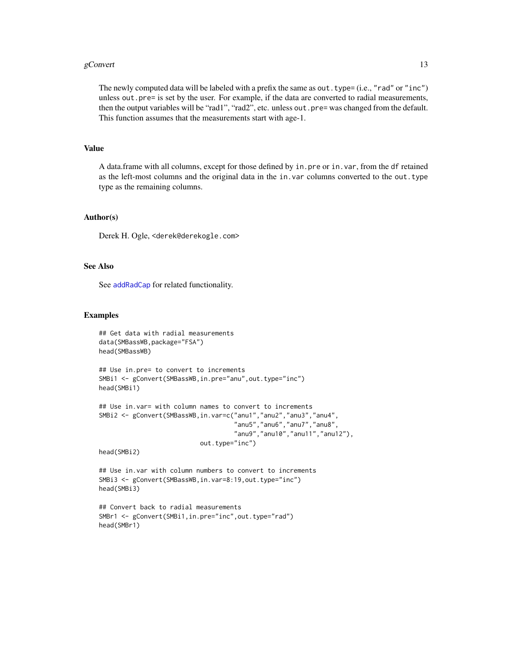#### <span id="page-12-0"></span>gConvert  $\qquad \qquad$  13

The newly computed data will be labeled with a prefix the same as out. type= (i.e., "rad" or "inc") unless out.pre= is set by the user. For example, if the data are converted to radial measurements, then the output variables will be "rad1", "rad2", etc. unless out.pre= was changed from the default. This function assumes that the measurements start with age-1.

# Value

A data.frame with all columns, except for those defined by in.pre or in.var, from the df retained as the left-most columns and the original data in the in. var columns converted to the out. type type as the remaining columns.

# Author(s)

Derek H. Ogle, <derek@derekogle.com>

# See Also

See [addRadCap](#page-1-1) for related functionality.

#### Examples

```
## Get data with radial measurements
data(SMBassWB,package="FSA")
head(SMBassWB)
## Use in.pre= to convert to increments
SMBi1 <- gConvert(SMBassWB,in.pre="anu",out.type="inc")
head(SMBi1)
## Use in.var= with column names to convert to increments
```

```
SMBi2 <- gConvert(SMBassWB,in.var=c("anu1","anu2","anu3","anu4",
                                    "anu5","anu6","anu7","anu8",
                                    "anu9","anu10","anu11","anu12"),
                           out.type="inc")
```
head(SMBi2)

## Use in.var with column numbers to convert to increments SMBi3 <- gConvert(SMBassWB,in.var=8:19,out.type="inc") head(SMBi3)

```
## Convert back to radial measurements
SMBr1 <- gConvert(SMBi1,in.pre="inc",out.type="rad")
head(SMBr1)
```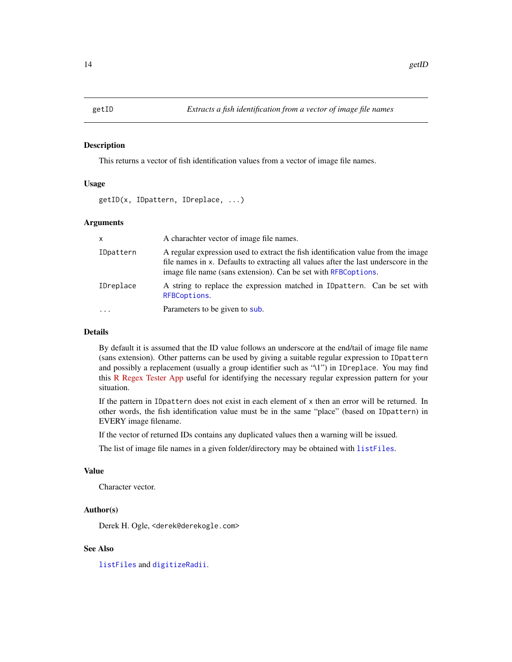<span id="page-13-1"></span><span id="page-13-0"></span>

#### Description

This returns a vector of fish identification values from a vector of image file names.

# Usage

getID(x, IDpattern, IDreplace, ...)

#### Arguments

| $\mathsf{x}$ | A charachter vector of image file names.                                                                                                                                                                                                   |  |
|--------------|--------------------------------------------------------------------------------------------------------------------------------------------------------------------------------------------------------------------------------------------|--|
| IDpattern    | A regular expression used to extract the fish identification value from the image<br>file names in x. Defaults to extracting all values after the last underscore in the<br>image file name (sans extension). Can be set with RFBCoptions. |  |
| IDreplace    | A string to replace the expression matched in IDpattern. Can be set with<br>RFBCoptions.                                                                                                                                                   |  |
|              | Parameters to be given to sub.                                                                                                                                                                                                             |  |

# Details

By default it is assumed that the ID value follows an underscore at the end/tail of image file name (sans extension). Other patterns can be used by giving a suitable regular expression to IDpattern and possibly a replacement (usually a group identifier such as "\1") in IDreplace. You may find this [R Regex Tester App](https://spannbaueradam.shinyapps.io/r_regex_tester/) useful for identifying the necessary regular expression pattern for your situation.

If the pattern in IDpattern does not exist in each element of x then an error will be returned. In other words, the fish identification value must be in the same "place" (based on IDpattern) in EVERY image filename.

If the vector of returned IDs contains any duplicated values then a warning will be issued.

The list of image file names in a given folder/directory may be obtained with [listFiles](#page-14-1).

#### Value

Character vector.

# Author(s)

Derek H. Ogle, <derek@derekogle.com>

#### See Also

[listFiles](#page-14-1) and [digitizeRadii](#page-7-1).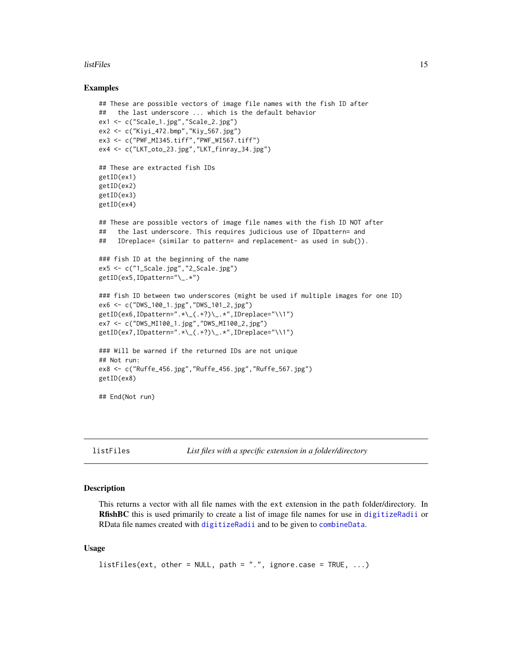#### <span id="page-14-0"></span>listFiles 15

#### Examples

```
## These are possible vectors of image file names with the fish ID after
## the last underscore ... which is the default behavior
ex1 <- c("Scale_1.jpg","Scale_2.jpg")
ex2 <- c("Kiyi_472.bmp","Kiy_567.jpg")
ex3 <- c("PWF_MI345.tiff","PWF_WI567.tiff")
ex4 <- c("LKT_oto_23.jpg","LKT_finray_34.jpg")
## These are extracted fish IDs
getID(ex1)
getID(ex2)
getID(ex3)
getID(ex4)
## These are possible vectors of image file names with the fish ID NOT after
## the last underscore. This requires judicious use of IDpattern= and
## IDreplace= (similar to pattern= and replacement- as used in sub()).
### fish ID at the beginning of the name
ex5 <- c("1_Scale.jpg","2_Scale.jpg")
getID(ex5,IDpattern="\_.*")
### fish ID between two underscores (might be used if multiple images for one ID)
ex6 <- c("DWS_100_1.jpg","DWS_101_2,jpg")
getID(ex6,IDpattern=".*\_(.+?)\_.*",IDreplace="\\1")
ex7 <- c("DWS_MI100_1.jpg","DWS_MI100_2,jpg")
getID(ex7,IDpattern=".*\_(.+?)\_.*",IDreplace="\\1")
### Will be warned if the returned IDs are not unique
## Not run:
ex8 <- c("Ruffe_456.jpg","Ruffe_456.jpg","Ruffe_567.jpg")
getID(ex8)
## End(Not run)
```
<span id="page-14-1"></span>listFiles *List files with a specific extension in a folder/directory*

#### **Description**

This returns a vector with all file names with the ext extension in the path folder/directory. In RfishBC this is used primarily to create a list of image file names for use in [digitizeRadii](#page-7-1) or RData file names created with [digitizeRadii](#page-7-1) and to be given to [combineData](#page-6-1).

#### Usage

```
listFiles(ext, other = NULL, path = ".", ignore.case = TRUE, ...)
```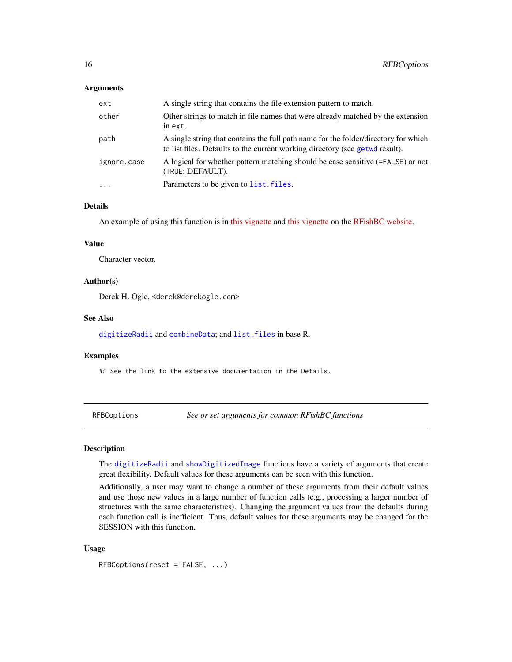#### <span id="page-15-0"></span>Arguments

| ext         | A single string that contains the file extension pattern to match.                                                                                                  |  |
|-------------|---------------------------------------------------------------------------------------------------------------------------------------------------------------------|--|
| other       | Other strings to match in file names that were already matched by the extension<br>in ext.                                                                          |  |
| path        | A single string that contains the full path name for the folder/directory for which<br>to list files. Defaults to the current working directory (see getwe result). |  |
| ignore.case | A logical for whether pattern matching should be case sensitive (=FALSE) or not<br>(TRUE; DEFAULT).                                                                 |  |
| $\cdots$    | Parameters to be given to list. files.                                                                                                                              |  |

# Details

An example of using this function is in [this vignette](http://derekogle.com/RFishBC/articles/MeasureRadii/collectRadiiData.html) and [this vignette](http://derekogle.com/RFishBC/articles/MeasureRadii/seeRadiiData.html) on the [RFishBC website.](http://derekogle.com/RFishBC/index.html)

# Value

Character vector.

# Author(s)

Derek H. Ogle, <derek@derekogle.com>

# See Also

[digitizeRadii](#page-7-1) and [combineData](#page-6-1); and [list.files](#page-0-0) in base R.

#### Examples

## See the link to the extensive documentation in the Details.

<span id="page-15-1"></span>RFBCoptions *See or set arguments for common RFishBC functions*

#### Description

The [digitizeRadii](#page-7-1) and [showDigitizedImage](#page-19-1) functions have a variety of arguments that create great flexibility. Default values for these arguments can be seen with this function.

Additionally, a user may want to change a number of these arguments from their default values and use those new values in a large number of function calls (e.g., processing a larger number of structures with the same characteristics). Changing the argument values from the defaults during each function call is inefficient. Thus, default values for these arguments may be changed for the SESSION with this function.

# Usage

RFBCoptions(reset = FALSE, ...)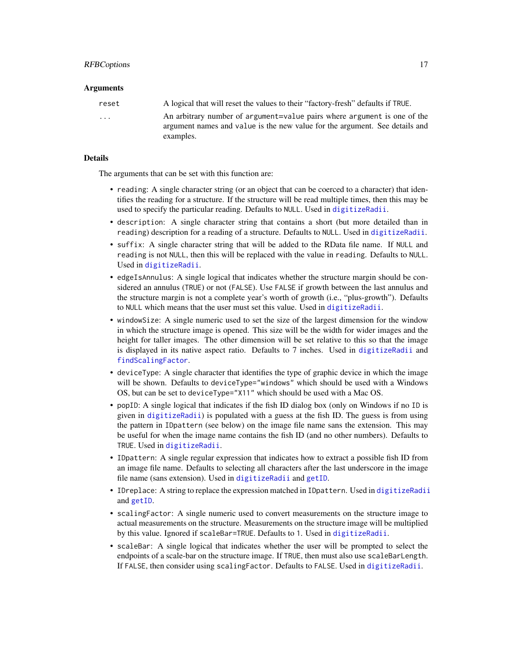# <span id="page-16-0"></span>Arguments

| reset                   | A logical that will reset the values to their "factory-fresh" defaults if TRUE.                                                                         |
|-------------------------|---------------------------------------------------------------------------------------------------------------------------------------------------------|
| $\cdot$ $\cdot$ $\cdot$ | An arbitrary number of argument=value pairs where argument is one of the<br>argument names and value is the new value for the argument. See details and |
|                         | examples.                                                                                                                                               |

# Details

The arguments that can be set with this function are:

- reading: A single character string (or an object that can be coerced to a character) that identifies the reading for a structure. If the structure will be read multiple times, then this may be used to specify the particular reading. Defaults to NULL. Used in [digitizeRadii](#page-7-1).
- description: A single character string that contains a short (but more detailed than in reading) description for a reading of a structure. Defaults to NULL. Used in [digitizeRadii](#page-7-1).
- suffix: A single character string that will be added to the RData file name. If NULL and reading is not NULL, then this will be replaced with the value in reading. Defaults to NULL. Used in [digitizeRadii](#page-7-1).
- edgeIsAnnulus: A single logical that indicates whether the structure margin should be considered an annulus (TRUE) or not (FALSE). Use FALSE if growth between the last annulus and the structure margin is not a complete year's worth of growth (i.e., "plus-growth"). Defaults to NULL which means that the user must set this value. Used in [digitizeRadii](#page-7-1).
- windowSize: A single numeric used to set the size of the largest dimension for the window in which the structure image is opened. This size will be the width for wider images and the height for taller images. The other dimension will be set relative to this so that the image is displayed in its native aspect ratio. Defaults to 7 inches. Used in [digitizeRadii](#page-7-1) and [findScalingFactor](#page-10-1).
- deviceType: A single character that identifies the type of graphic device in which the image will be shown. Defaults to deviceType="windows" which should be used with a Windows OS, but can be set to deviceType="X11" which should be used with a Mac OS.
- popID: A single logical that indicates if the fish ID dialog box (only on Windows if no ID is given in [digitizeRadii](#page-7-1)) is populated with a guess at the fish ID. The guess is from using the pattern in IDpattern (see below) on the image file name sans the extension. This may be useful for when the image name contains the fish ID (and no other numbers). Defaults to TRUE. Used in [digitizeRadii](#page-7-1).
- IDpattern: A single regular expression that indicates how to extract a possible fish ID from an image file name. Defaults to selecting all characters after the last underscore in the image file name (sans extension). Used in [digitizeRadii](#page-7-1) and [getID](#page-13-1).
- IDreplace: A string to replace the expression matched in IDpattern. Used in [digitizeRadii](#page-7-1) and [getID](#page-13-1).
- scalingFactor: A single numeric used to convert measurements on the structure image to actual measurements on the structure. Measurements on the structure image will be multiplied by this value. Ignored if scaleBar=TRUE. Defaults to 1. Used in [digitizeRadii](#page-7-1).
- scaleBar: A single logical that indicates whether the user will be prompted to select the endpoints of a scale-bar on the structure image. If TRUE, then must also use scaleBarLength. If FALSE, then consider using scalingFactor. Defaults to FALSE. Used in [digitizeRadii](#page-7-1).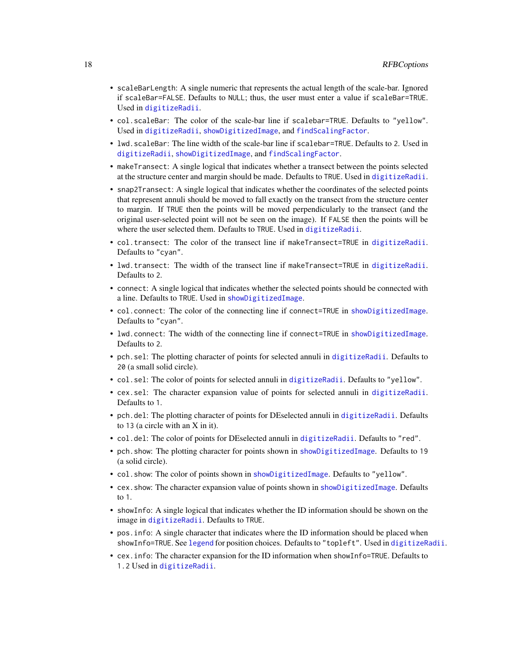- <span id="page-17-0"></span>• scaleBarLength: A single numeric that represents the actual length of the scale-bar. Ignored if scaleBar=FALSE. Defaults to NULL; thus, the user must enter a value if scaleBar=TRUE. Used in [digitizeRadii](#page-7-1).
- col.scaleBar: The color of the scale-bar line if scalebar=TRUE. Defaults to "yellow". Used in [digitizeRadii](#page-7-1), [showDigitizedImage](#page-19-1), and [findScalingFactor](#page-10-1).
- lwd.scaleBar: The line width of the scale-bar line if scalebar=TRUE. Defaults to 2. Used in [digitizeRadii](#page-7-1), [showDigitizedImage](#page-19-1), and [findScalingFactor](#page-10-1).
- makeTransect: A single logical that indicates whether a transect between the points selected at the structure center and margin should be made. Defaults to TRUE. Used in [digitizeRadii](#page-7-1).
- snap2Transect: A single logical that indicates whether the coordinates of the selected points that represent annuli should be moved to fall exactly on the transect from the structure center to margin. If TRUE then the points will be moved perpendicularly to the transect (and the original user-selected point will not be seen on the image). If FALSE then the points will be where the user selected them. Defaults to TRUE. Used in [digitizeRadii](#page-7-1).
- col.transect: The color of the transect line if makeTransect=TRUE in [digitizeRadii](#page-7-1). Defaults to "cyan".
- lwd.transect: The width of the transect line if makeTransect=TRUE in [digitizeRadii](#page-7-1). Defaults to 2.
- connect: A single logical that indicates whether the selected points should be connected with a line. Defaults to TRUE. Used in [showDigitizedImage](#page-19-1).
- col.connect: The color of the connecting line if connect=TRUE in [showDigitizedImage](#page-19-1). Defaults to "cyan".
- lwd.connect: The width of the connecting line if connect=TRUE in [showDigitizedImage](#page-19-1). Defaults to 2.
- pch.sel: The plotting character of points for selected annuli in [digitizeRadii](#page-7-1). Defaults to 20 (a small solid circle).
- col.sel: The color of points for selected annuli in [digitizeRadii](#page-7-1). Defaults to "yellow".
- cex.sel: The character expansion value of points for selected annuli in [digitizeRadii](#page-7-1). Defaults to 1.
- pch.del: The plotting character of points for DEselected annuli in [digitizeRadii](#page-7-1). Defaults to 13 (a circle with an X in it).
- col.del: The color of points for DEselected annuli in [digitizeRadii](#page-7-1). Defaults to "red".
- pch.show: The plotting character for points shown in [showDigitizedImage](#page-19-1). Defaults to 19 (a solid circle).
- col.show: The color of points shown in [showDigitizedImage](#page-19-1). Defaults to "yellow".
- cex.show: The character expansion value of points shown in [showDigitizedImage](#page-19-1). Defaults to 1.
- showInfo: A single logical that indicates whether the ID information should be shown on the image in [digitizeRadii](#page-7-1). Defaults to TRUE.
- pos.info: A single character that indicates where the ID information should be placed when showInfo=TRUE. See [legend](#page-0-0) for position choices. Defaults to "topleft". Used in [digitizeRadii](#page-7-1).
- cex.info: The character expansion for the ID information when showInfo=TRUE. Defaults to 1.2 Used in [digitizeRadii](#page-7-1).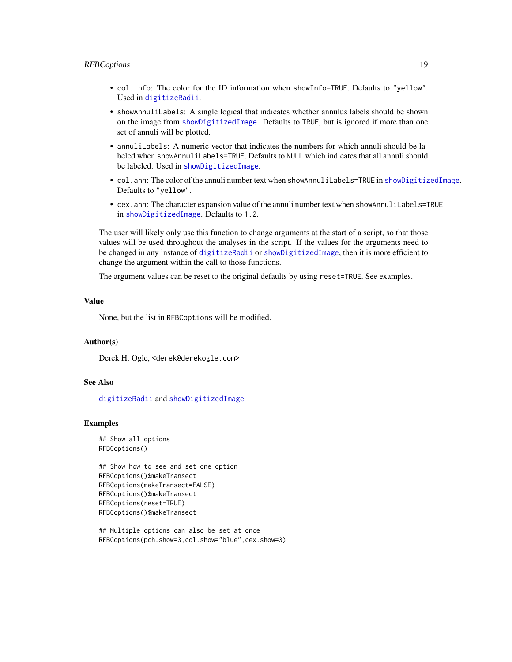#### <span id="page-18-0"></span>RFBCoptions 19

- col.info: The color for the ID information when showInfo=TRUE. Defaults to "yellow". Used in [digitizeRadii](#page-7-1).
- showAnnuliLabels: A single logical that indicates whether annulus labels should be shown on the image from [showDigitizedImage](#page-19-1). Defaults to TRUE, but is ignored if more than one set of annuli will be plotted.
- annuliLabels: A numeric vector that indicates the numbers for which annuli should be labeled when showAnnuliLabels=TRUE. Defaults to NULL which indicates that all annuli should be labeled. Used in [showDigitizedImage](#page-19-1).
- col.ann: The color of the annuli number text when showAnnuliLabels=TRUE in [showDigitizedImage](#page-19-1). Defaults to "yellow".
- cex.ann: The character expansion value of the annuli number text when showAnnuliLabels=TRUE in [showDigitizedImage](#page-19-1). Defaults to 1.2.

The user will likely only use this function to change arguments at the start of a script, so that those values will be used throughout the analyses in the script. If the values for the arguments need to be changed in any instance of [digitizeRadii](#page-7-1) or [showDigitizedImage](#page-19-1), then it is more efficient to change the argument within the call to those functions.

The argument values can be reset to the original defaults by using reset=TRUE. See examples.

#### Value

None, but the list in RFBCoptions will be modified.

#### Author(s)

Derek H. Ogle, <derek@derekogle.com>

#### See Also

[digitizeRadii](#page-7-1) and [showDigitizedImage](#page-19-1)

#### Examples

```
## Show all options
RFBCoptions()
```

```
## Show how to see and set one option
RFBCoptions()$makeTransect
RFBCoptions(makeTransect=FALSE)
RFBCoptions()$makeTransect
RFBCoptions(reset=TRUE)
RFBCoptions()$makeTransect
```

```
## Multiple options can also be set at once
RFBCoptions(pch.show=3,col.show="blue",cex.show=3)
```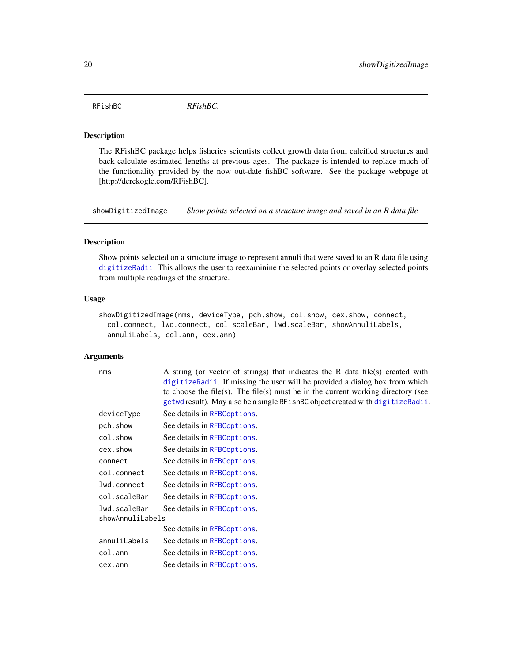<span id="page-19-0"></span>RFishBC *RFishBC.*

#### Description

The RFishBC package helps fisheries scientists collect growth data from calcified structures and back-calculate estimated lengths at previous ages. The package is intended to replace much of the functionality provided by the now out-date fishBC software. See the package webpage at [http://derekogle.com/RFishBC].

<span id="page-19-1"></span>showDigitizedImage *Show points selected on a structure image and saved in an R data file*

# Description

Show points selected on a structure image to represent annuli that were saved to an R data file using [digitizeRadii](#page-7-1). This allows the user to reexaminine the selected points or overlay selected points from multiple readings of the structure.

# Usage

```
showDigitizedImage(nms, deviceType, pch.show, col.show, cex.show, connect,
  col.connect, lwd.connect, col.scaleBar, lwd.scaleBar, showAnnuliLabels,
  annuliLabels, col.ann, cex.ann)
```
#### Arguments

nms A string (or vector of strings) that indicates the R data file(s) created with [digitizeRadii](#page-7-1). If missing the user will be provided a dialog box from which to choose the file(s). The file(s) must be in the current working directory (see [getwd](#page-0-0) result). May also be a single RFishBC object created with [digitizeRadii](#page-7-1).

| deviceType       | See details in RFBCoptions. |
|------------------|-----------------------------|
| pch.show         | See details in RFBCoptions. |
| col.show         | See details in RFBCoptions. |
| cex.show         | See details in RFBCoptions. |
| connect          | See details in RFBCoptions. |
| col.connect      | See details in RFBCoptions. |
| lwd.connect      | See details in RFBCoptions. |
| col.scaleBar     | See details in RFBCoptions. |
| lwd.scaleBar     | See details in RFBCoptions. |
| showAnnuliLabels |                             |
|                  | See details in RFBCoptions. |
| annuliLabels     | See details in RFBCoptions. |
| col.ann          | See details in RFBCoptions. |
| cex.ann          | See details in RFBCoptions. |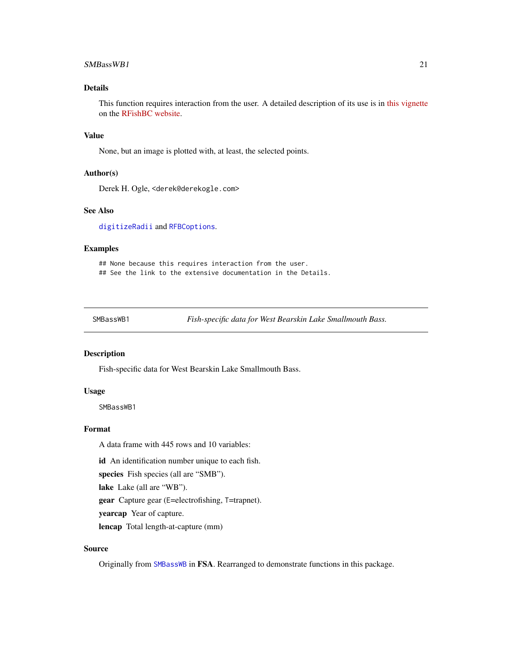#### <span id="page-20-0"></span>SMBassWB1 21

# Details

This function requires interaction from the user. A detailed description of its use is in [this vignette](http://derekogle.com/RFishBC/articles/MeasureRadii/seeRadiiData.html) on the [RFishBC website.](http://derekogle.com/RFishBC/index.html)

# Value

None, but an image is plotted with, at least, the selected points.

#### Author(s)

Derek H. Ogle, <derek@derekogle.com>

# See Also

[digitizeRadii](#page-7-1) and [RFBCoptions](#page-15-1).

#### Examples

## None because this requires interaction from the user. ## See the link to the extensive documentation in the Details.

<span id="page-20-1"></span>SMBassWB1 *Fish-specific data for West Bearskin Lake Smallmouth Bass.*

# Description

Fish-specific data for West Bearskin Lake Smallmouth Bass.

# Usage

SMBassWB1

# Format

A data frame with 445 rows and 10 variables:

id An identification number unique to each fish.

species Fish species (all are "SMB").

lake Lake (all are "WB").

gear Capture gear (E=electrofishing, T=trapnet).

yearcap Year of capture.

lencap Total length-at-capture (mm)

# Source

Originally from [SMBassWB](#page-0-0) in FSA. Rearranged to demonstrate functions in this package.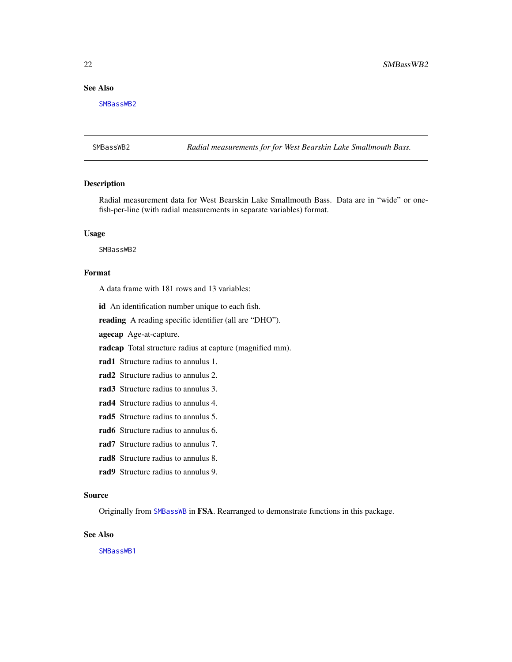# <span id="page-21-0"></span>See Also

[SMBassWB2](#page-21-1)

<span id="page-21-1"></span>SMBassWB2 *Radial measurements for for West Bearskin Lake Smallmouth Bass.*

# Description

Radial measurement data for West Bearskin Lake Smallmouth Bass. Data are in "wide" or onefish-per-line (with radial measurements in separate variables) format.

# Usage

SMBassWB2

# Format

A data frame with 181 rows and 13 variables:

id An identification number unique to each fish.

reading A reading specific identifier (all are "DHO").

agecap Age-at-capture.

radcap Total structure radius at capture (magnified mm).

rad1 Structure radius to annulus 1.

rad2 Structure radius to annulus 2.

rad3 Structure radius to annulus 3.

rad4 Structure radius to annulus 4.

rad5 Structure radius to annulus 5.

rad6 Structure radius to annulus 6.

rad7 Structure radius to annulus 7.

rad8 Structure radius to annulus 8.

rad9 Structure radius to annulus 9.

### Source

Originally from [SMBassWB](#page-0-0) in FSA. Rearranged to demonstrate functions in this package.

# See Also

[SMBassWB1](#page-20-1)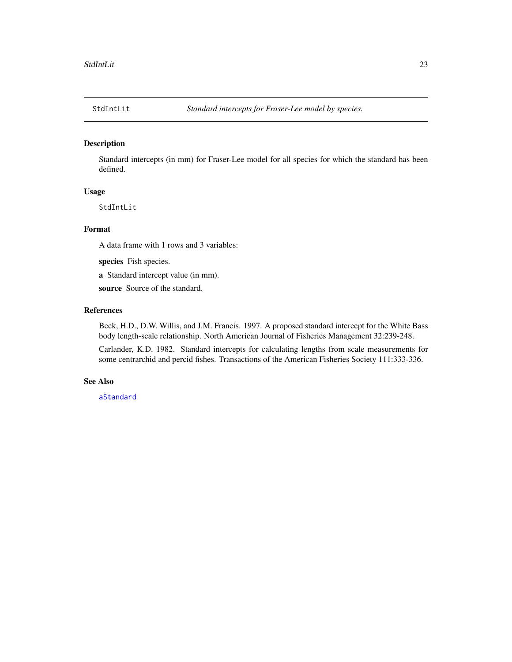<span id="page-22-1"></span><span id="page-22-0"></span>

# Description

Standard intercepts (in mm) for Fraser-Lee model for all species for which the standard has been defined.

#### Usage

StdIntLit

# Format

A data frame with 1 rows and 3 variables:

species Fish species.

a Standard intercept value (in mm).

source Source of the standard.

# References

Beck, H.D., D.W. Willis, and J.M. Francis. 1997. A proposed standard intercept for the White Bass body length-scale relationship. North American Journal of Fisheries Management 32:239-248.

Carlander, K.D. 1982. Standard intercepts for calculating lengths from scale measurements for some centrarchid and percid fishes. Transactions of the American Fisheries Society 111:333-336.

#### See Also

[aStandard](#page-2-1)